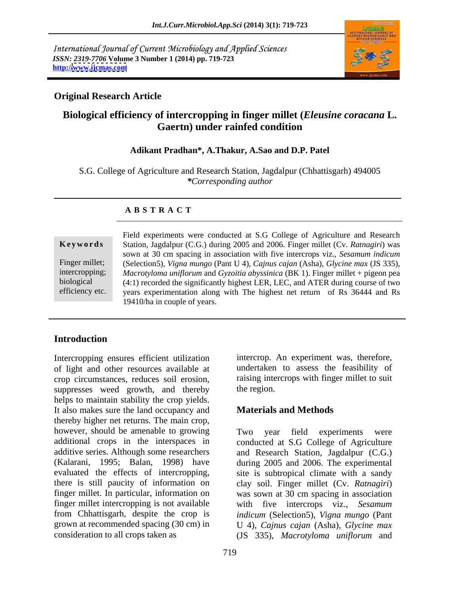International Journal of Current Microbiology and Applied Sciences *ISSN: 2319-7706* **Volume 3 Number 1 (2014) pp. 719-723 http:/[/www.ijcmas.com](http://www.ijcmas.com)**



### **Original Research Article**

## **Biological efficiency of intercropping in finger millet (***Eleusine coracana* **L. Gaertn) under rainfed condition**

### **Adikant Pradhan\*, A.Thakur, A.Sao and D.P. Patel**

S.G. College of Agriculture and Research Station, Jagdalpur (Chhattisgarh) 494005 *\*Corresponding author*

### **A B S T R A C T**

**Ke ywo rds** Station, Jagdalpur (C.G.) during 2005 and 2006. Finger millet (Cv. *Ratnagiri*) was Finger millet; (Selection5), *Vigna mungo* (Pant U 4), *Cajnus cajan* (Asha), *Glycine max* (JS 335), intercropping; *Macrotyloma uniflorum* and *Gyzoitia abyssinica* (BK 1). Finger millet + pigeon pea biological (4:1) recorded the significantly highest LER, LEC, and ATER during course of two efficiency etc. years experimentation along with The highest net return of Rs 36444 and Rs Field experiments were conducted at S.G College of Agriculture and Research sown at 30 cm spacing in association with five intercrops viz., *Sesamum indicum* 19410/ha in couple of years.

## **Introduction**

Intercropping ensures efficient utilization of light and other resources available at undertaken to assess the feasibility of crop circumstances, reduces soil erosion, raising inte<br>suppresses weed growth, and thereby the region. suppresses weed growth, and thereby helps to maintain stability the crop yields. It also makes sure the land occupancy and thereby higher net returns. The main crop, however, should be amenable to growing Two year field experiments were additional crops in the interspaces in conducted at S.G College of Agriculture additive series. Although some researchers and Research Station, Jagdalpur (C.G.) (Kalarani, 1995; Balan, 1998) have during 2005 and 2006. The experimental evaluated the effects of intercropping, site is subtropical climate with a sandy there is still paucity of information on clay soil. Finger millet (Cv. *Ratnagiri*) finger millet. In particular, information on was sown at 30 cm spacing in association finger millet intercropping is not available with five intercrops viz., *Sesamum*  from Chhattisgarh, despite the crop is grown at recommended spacing (30 cm) in U 4), *Cajnus cajan* (Asha), *Glycine max* consideration to all crops taken as (JS 335), *Macrotyloma uniflorum* and

intercrop. An experiment was, therefore, raising intercrops with finger millet to suit the region.

### **Materials and Methods**

Two year field experiments were *indicum* (Selection5), *Vigna mungo* (Pant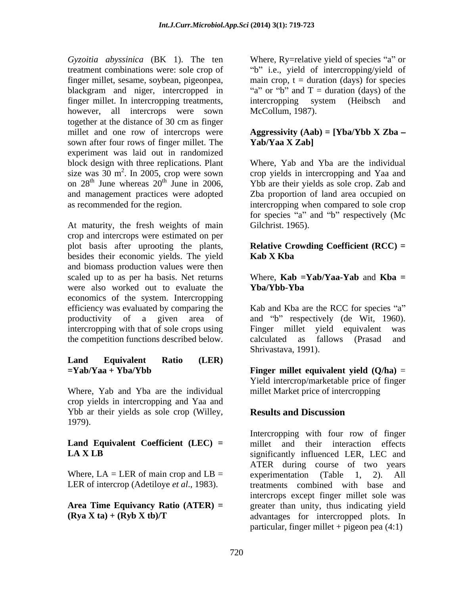*Gyzoitia abyssinica* (BK 1). The ten Where, Ry=relative yield of species "a" or treatment combinations were: sole crop of finger millet, sesame, soybean, pigeonpea, main crop, t = duration (days) for species blackgram and niger, intercropped in "a" or "b" and  $T =$  duration (days) of the finger millet. In intercropping treatments, intercropping system (Heibsch and however, all intercrops were sown together at the distance of 30 cm as finger millet and one row of intercrops were **Aggressivity (Aab) = [Yba/Ybb X Zba** sown after four rows of finger millet. The Yab/Yaa X Zab] experiment was laid out in randomized block design with three replications. Plant size was  $30 \text{ m}^2$ . In 2005, crop were sown crop yields in intercropping and Yaa and on  $28<sup>th</sup>$  June whereas  $20<sup>th</sup>$  June in 2006, Ybb are their yields as sole crop. Zab and and management practices were adopted Zba proportion of land area occupied on as recommended for the region. intercropping when compared to sole crop

At maturity, the fresh weights of main crop and intercrops were estimated on per plot basis after uprooting the plants, **Relative Crowding Coefficient (RCC) =** besides their economic yields. The yield **Kab X Kba** and biomass production values were then scaled up to as per ha basis. Net returns Where, **Kab =Yab/Yaa-Yab** and **Kba =** were also worked out to evaluate the **Yba/Ybb-Yba** economics of the system. Intercropping efficiency was evaluated by comparing the Kab and Kba are the RCC for species "a" productivity of a given area of and "b" respectively (de Wit, 1960). intercropping with that of sole crops using Finger millet yield equivalent was the competition functions described below. calculated as fallows (Prasad and

# **Land Equivalent Ratio (LER)**

Where, Yab and Yba are the individual crop yields in intercropping and Yaa and Ybb ar their yields as sole crop (Willey, Results and Discussion 1979).

Where,  $LA = LER$  of main crop and  $LB =$  experimentation (Table 1, 2). All LER of intercrop (Adetiloye *et al*., 1983).

"b" i.e., yield of intercropping/yield of intercropping system (Heibsch and McCollum, 1987).

# **Yab/Yaa X Zab]**

Where, Yab and Yba are the individual for species "a" and "b" respectively (Mc Gilchrist. 1965).

# **Kab X Kba**

# **Yba/Ybb-Yba**

Finger millet yield equivalent calculated as fallows (Prasad and Shrivastava, 1991).

**=Yab/Yaa + Yba/Ybb Finger millet equivalent yield (Q/ha)** = Yield intercrop/marketable price of finger millet Market price of intercropping

## **Results and Discussion**

**Land Equivalent Coefficient (LEC) =** millet and their interaction effects **LA X LB** significantly influenced LER, LEC and **Area Time Equivancy Ratio (ATER) =** greater than unity, thus indicating yield **(Rya X ta) + (Ryb X tb)/T** advantages for intercropped plots. In Intercropping with four row of finger ATER during course of two years experimentation (Table 1, treatments combined with base intercrops except finger millet sole was particular, finger millet + pigeon pea  $(4:1)$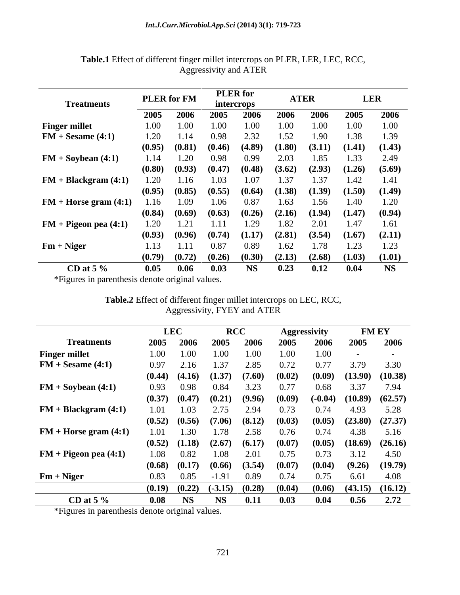| <b>Treatments</b>         |      | <b>PLER</b> for FM | intercrops                 | <b>PLER</b> for |        | <b>ATER</b>       |        | <b>LER</b> |
|---------------------------|------|--------------------|----------------------------|-----------------|--------|-------------------|--------|------------|
|                           |      | 2005 2006          | 2005                       | 2006            | 2006   | 2006              | 2005   | 2006       |
| <b>Finger millet</b>      | 1.00 | 1.OO.              | 1.OO.                      | (M)             |        | $1.00 -$          | 1.00   | 1.00       |
| $FM + Sesame(4:1)$        | 1.20 |                    |                            |                 |        | l.YU-             | 138    | 1.39       |
|                           |      | $(0.95)$ $(0.81)$  | (0.46)                     | (4.89)          | (1.80) | (3.11)            | (1.41) | (1.43)     |
| $FM + Soybean (4:1)$      | 1.14 | 1.20               | 0.98                       | (1.99           | 2.03   | 1.85              | 1.33   | 2.49       |
|                           |      | $(0.80)$ $(0.93)$  | (0.47)                     | (0.48)          | (3.62) | (2.93)            | (1.26) | (5.69)     |
| $FM + Blackgram(4:1)$     | 1.20 | L 16 -             | 1.03                       |                 |        |                   |        | 1.41       |
|                           |      | $(0.95)$ $(0.85)$  | (0.55)                     | (0.64)          | (1.38) | (1.39)            | (1.50) | (1.49)     |
| $FM + Horse gram (4:1)$   | 1.16 | 1.09               | 1.06                       | 0.87            | L.63.  | l.56              |        | 1.20       |
|                           |      | $(0.84)$ $(0.69)$  | (0.63)                     | (0.26)          | (2.16) | (1.94)            | (1.47) | (0.94)     |
| $FM + Pigeon$ pea $(4:1)$ | 1.20 | 1.21               | 1.11                       | .29             | 1.82   | 2.01              | 1.47   | 1.61       |
|                           |      | $(0.93)$ $(0.96)$  | (0.74)                     | (1.17)          | (2.81) | (3.54)            | (1.67) | (2.11)     |
| $Fm + Niger$              | 1.13 | 1 1 1 1            | 0.87                       |                 | 1.62   | 178               |        | 1.23       |
|                           |      |                    | $(0.79)$ $(0.72)$ $(0.26)$ | (0.30)          | (2.13) | $(2.68)$ $(1.03)$ |        | (1.01)     |
|                           |      |                    |                            |                 |        |                   |        |            |
| CD at 5 $\%$              | 0.05 | 0.06               | 0.03                       | <b>NS</b>       | 0.23   | 0.12              | 0.04   | NS         |

**Table.1** Effect of different finger millet intercrops on PLER, LER, LEC, RCC, Aggressivity and ATER

\*Figures in parenthesis denote original values.

| Table.2 Effect of different finger millet intercrops on LEC, RCC, |  |  |
|-------------------------------------------------------------------|--|--|
| <b>FYEY and ATEK</b><br><b>Aggressi</b><br>/ I L V . I            |  |  |

|                           |          | <b>LEC</b>        |                            | <b>RCC</b>        |                                               | <b>Aggressivity</b> | <b>FM EY</b>                  |                     |
|---------------------------|----------|-------------------|----------------------------|-------------------|-----------------------------------------------|---------------------|-------------------------------|---------------------|
| <b>Treatments</b>         | 2005     | 2006              | 2005                       | 2006              | 2005                                          | 2006                | 2005                          | 2006                |
| <b>Finger millet</b>      | $1.00 -$ | $\cup$ $\cup$     | $1.00\pm$                  | $1.00 -$          | 1.00                                          | 1.00                |                               | $\sim$              |
| $FM + Sesame(4:1)$        | 0.97     | 2.16              | 1.37                       | 2.85              | 0.72                                          | 0.77                | 3.79                          | 3.30                |
|                           |          |                   | $(0.44)$ $(4.16)$ $(1.37)$ | (7.60)            | (0.02)                                        | (0.09)              | $(13.90)$ $(10.38)$           |                     |
| $FM + Soybean (4:1)$      | 0.93     | 0.98              | 0.84                       | 3.23              | 0.77                                          | 0.68                | 3.37                          | 7.94                |
|                           |          | $(0.37)$ $(0.47)$ | (0.21)                     | (9.96)            | (0.09)                                        |                     | $(-0.04)$ $(10.89)$ $(62.57)$ |                     |
| $FM + Blackgram(4:1)$     | 1.01     | 1.03.             | 2.75                       | 2.94              | 0.73                                          |                     | 4.93                          | 5.28                |
|                           |          |                   |                            |                   | $(0.52)$ $(0.56)$ $(7.06)$ $(8.12)$ $(0.03)$  | (0.05)              |                               | $(23.80)$ $(27.37)$ |
| $FM + Horse gram (4:1)$   | 1.01     | 1.30              | 1.78                       | 2.58              | 0.76                                          |                     | 4.38                          | 5.16                |
|                           |          |                   | $(0.52)$ $(1.18)$ $(2.67)$ |                   | $(6.17)$ $(0.07)$                             | (0.05)              |                               | $(18.69)$ $(26.16)$ |
| $FM + Pigeon$ pea $(4:1)$ | 1.08     | 0.82              | 1.08                       | 2.01              | 0.75                                          | 0.73                |                               | 4.50                |
|                           | (0.68)   | (0.17)            |                            | $(0.66)$ $(3.54)$ | (0.07)                                        | (0.04)              | $(9.26)$ $(19.79)$            |                     |
| $Fm + Niger$              | 0.83     | 0.85              | $-1.91$                    | 0.89              | 0.74                                          | 0.75                | 6.61                          | 4.08                |
|                           |          |                   |                            |                   |                                               |                     |                               |                     |
|                           |          |                   |                            |                   | $(0.19)$ $(0.22)$ $(-3.15)$ $(0.28)$ $(0.04)$ | (0.06)              | $(43.15)$ $(16.12)$           |                     |
| CD at 5 $\%$              | 0.08     | <b>NS</b>         | NS                         | 0.11              | 0.03                                          | 0.04                | 0.56                          | 2.72                |

\*Figures in parenthesis denote original values.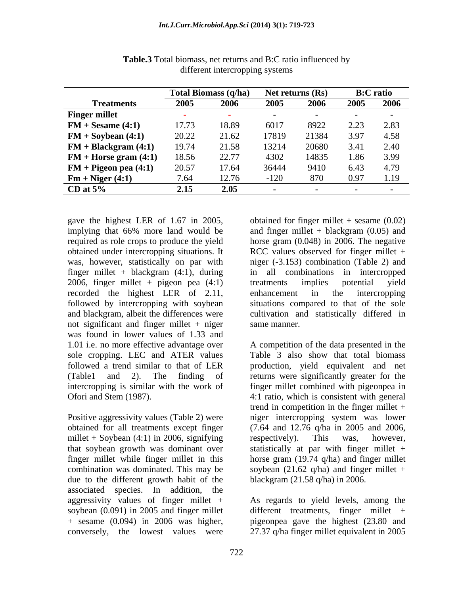|                                           |       | Total Biomass (q/ha) | Net returns (Rs) |       | <b>B:C</b> ratio |      |
|-------------------------------------------|-------|----------------------|------------------|-------|------------------|------|
| <b>Treatments</b>                         |       | 2006                 | 2005             | 2006  | 2005 2006        |      |
| <b>Finger millet</b>                      |       |                      |                  |       |                  |      |
| $FM + Sesame(4:1)$                        | 17.73 | -18.89               | 6017             |       |                  |      |
| $FM + Soybean (4:1)$                      | 20.22 | 21.62                | 17819            | 21384 | 3.97 4.58        |      |
| $FM + Blackgram(4:1)$                     | 19.74 | 21.58                | 13214            | 20680 | 3.41             | 2.40 |
| <b>FM</b> + <b>Horse gram (4:1)</b> 18.56 |       | 22.77                | 4302             | 14835 | 1.86 3.99        |      |
| $FM + Pigeon$ pea $(4:1)$                 | 20.57 | 17.64                | 36444            |       | 6.43             |      |
| $Fm + Niger(4:1)$                         |       | 12.76                | $-120$           |       |                  |      |
| CD at $5\%$                               | 2.15  | 2.05                 |                  |       |                  |      |

**Table.3** Total biomass, net returns and B:C ratio influenced by different intercropping systems

gave the highest LER of 1.67 in 2005, finger millet + blackgram  $(4:1)$ , during 2006, finger millet + pigeon pea (4:1) recorded the highest LER of 2.11, enhancement in the intercropping not significant and finger millet  $+$  niger same manner. was found in lower values of 1.33 and 1.01 i.e. no more effective advantage over

millet + Soybean  $(4:1)$  in 2006, signifying respectively). This was, however, that soybean growth was dominant over due to the different growth habit of the associated species. In addition, the aggressivity values of finger millet + As regards to yield levels, among the soybean (0.091) in 2005 and finger millet different treatments, finger millet + + sesame (0.094) in 2006 was higher, pigeonpea gave the highest(23.80 and conversely, the lowest values were 27.37 q/ha finger millet equivalent in 2005

implying that 66% more land would be and finger millet + blackgram (0.05) and required as role crops to produce the yield horse gram (0.048) in 2006. The negative obtained under intercropping situations. It RCC values observed for finger millet + was, however, statistically on par with niger (-3.153) combination (Table 2) and followed by intercropping with soybean situations compared to that of the sole and blackgram, albeit the differences were cultivation and statistically differed in obtained for finger millet  $+$  sesame  $(0.02)$ in all combinations in intercropped treatments implies potential yield enhancement in the intercropping same manner.

sole cropping. LEC and ATER values Table 3 also show that total biomass followed a trend similar to that of LER production, yield equivalent and net (Table1 and 2). The finding of returns were significantly greater for the intercropping is similar with the work of finger millet combined with pigeonpea in Ofori and Stem (1987). 4:1 ratio, which is consistent with general Positive aggressivity values (Table 2) were niger intercropping system was lower obtained for all treatments except finger (7.64 and 12.76 q/ha in 2005 and 2006, finger millet while finger millet in this horse gram (19.74 q/ha) and finger millet combination was dominated. This may be soybean (21.62 q/ha) and finger millet + A competition of the data presented in the trend in competition in the finger millet + respectively). This was, however, statistically at par with finger millet + blackgram (21.58 q/ha) in 2006.